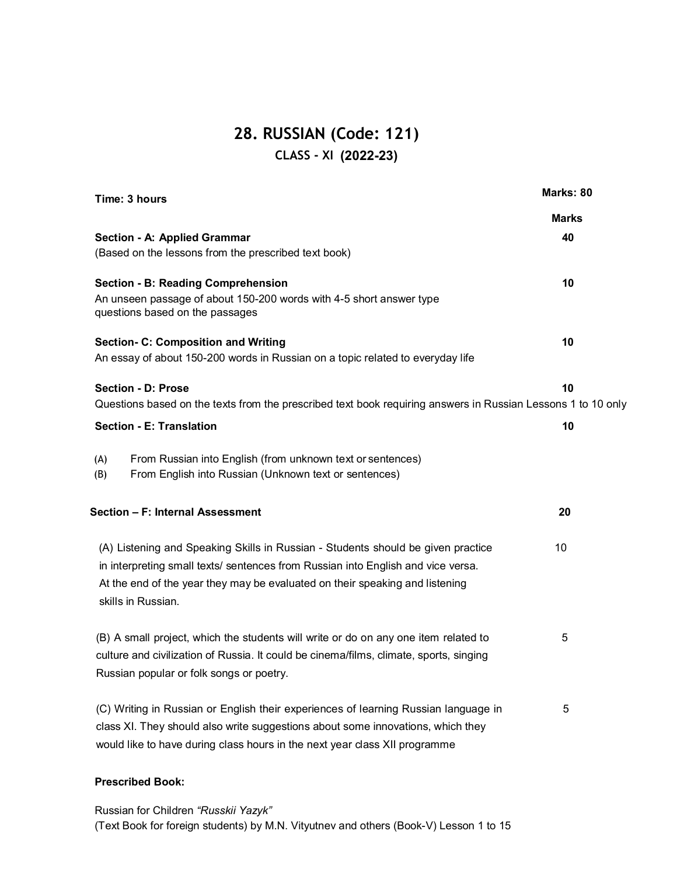## **28. RUSSIAN (Code: 121) CLASS - XI (2020 - 21) (2022-23)**

| Time: 3 hours                                                                                                | Marks: 80    |
|--------------------------------------------------------------------------------------------------------------|--------------|
|                                                                                                              | <b>Marks</b> |
| Section - A: Applied Grammar                                                                                 | 40           |
| (Based on the lessons from the prescribed text book)                                                         |              |
| <b>Section - B: Reading Comprehension</b>                                                                    | 10           |
| An unseen passage of about 150-200 words with 4-5 short answer type                                          |              |
| questions based on the passages                                                                              |              |
| <b>Section- C: Composition and Writing</b>                                                                   | 10           |
| An essay of about 150-200 words in Russian on a topic related to everyday life                               |              |
| <b>Section - D: Prose</b>                                                                                    | 10           |
| Questions based on the texts from the prescribed text book requiring answers in Russian Lessons 1 to 10 only |              |
| <b>Section - E: Translation</b>                                                                              | 10           |
|                                                                                                              |              |
| From Russian into English (from unknown text or sentences)<br>(A)                                            |              |
| From English into Russian (Unknown text or sentences)<br>(B)                                                 |              |
| Section - F: Internal Assessment                                                                             | 20           |
|                                                                                                              |              |
| (A) Listening and Speaking Skills in Russian - Students should be given practice                             | 10           |
| in interpreting small texts/ sentences from Russian into English and vice versa.                             |              |
| At the end of the year they may be evaluated on their speaking and listening                                 |              |
| skills in Russian.                                                                                           |              |
| (B) A small project, which the students will write or do on any one item related to                          | 5            |
| culture and civilization of Russia. It could be cinema/films, climate, sports, singing                       |              |
| Russian popular or folk songs or poetry.                                                                     |              |
|                                                                                                              |              |
| (C) Writing in Russian or English their experiences of learning Russian language in                          | 5            |
| class XI. They should also write suggestions about some innovations, which they                              |              |
| would like to have during class hours in the next year class XII programme                                   |              |
|                                                                                                              |              |
|                                                                                                              |              |

### **Prescribed Book:**

Russian for Children *"Russkii Yazyk"* (Text Book for foreign students) by M.N. Vityutnev and others (Book-V) Lesson 1 to 15